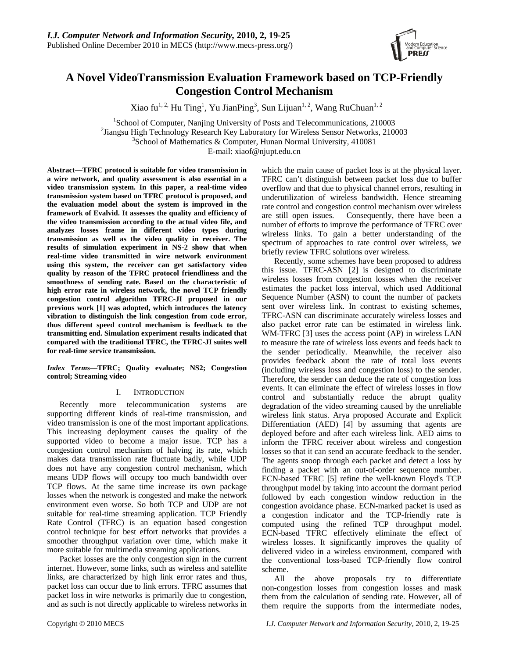

# **A Novel VideoTransmission Evaluation Framework based on TCP-Friendly Congestion Control Mechanism**

Xiao fu<sup>1, 2,</sup> Hu Ting<sup>1</sup>, Yu JianPing<sup>3</sup>, Sun Lijuan<sup>1, 2</sup>, Wang RuChuan<sup>1, 2</sup>

<sup>1</sup>School of Computer, Nanjing University of Posts and Telecommunications, 210003<sup>2</sup><br><sup>2</sup> Eignesi High Technology Becogne Key Lebentery for Winalese Sensor Naturalis, 2100  $<sup>2</sup>$ Jiangsu High Technology Research Key Laboratory for Wireless Sensor Networks, 210003</sup>  $3$ School of Mathematics & Computer, Hunan Normal University, 410081 E-mail: xiaof@njupt.edu.cn

**Abstract—TFRC protocol is suitable for video transmission in a wire network, and quality assessment is also essential in a video transmission system. In this paper, a real-time video transmission system based on TFRC protocol is proposed, and the evaluation model about the system is improved in the framework of Evalvid. It assesses the quality and efficiency of the video transmission according to the actual video file, and analyzes losses frame in different video types during transmission as well as the video quality in receiver. The results of simulation experiment in NS-2 show that when real-time video transmitted in wire network environment using this system, the receiver can get satisfactory video quality by reason of the TFRC protocol friendliness and the smoothness of sending rate. Based on the characteristic of high error rate in wireless network, the novel TCP friendly congestion control algorithm TFRC-JI proposed in our previous work [1] was adopted, which introduces the latency vibration to distinguish the link congestion from code error, thus different speed control mechanism is feedback to the transmitting end. Simulation experiment results indicated that compared with the traditional TFRC, the TFRC-JI suites well for real-time service transmission.** 

## *Index Terms—***TFRC; Quality evaluate; NS2; Congestion control; Streaming video**

# I. INTRODUCTION

Recently more telecommunication systems are supporting different kinds of real-time transmission, and video transmission is one of the most important applications. This increasing deployment causes the quality of the supported video to become a major issue. TCP has a congestion control mechanism of halving its rate, which makes data transmission rate fluctuate badly, while UDP does not have any congestion control mechanism, which means UDP flows will occupy too much bandwidth over TCP flows. At the same time increase its own package losses when the network is congested and make the network environment even worse. So both TCP and UDP are not suitable for real-time streaming application. TCP Friendly Rate Control (TFRC) is an equation based congestion control technique for best effort networks that provides a smoother throughput variation over time, which make it more suitable for multimedia streaming applications.

Packet losses are the only congestion sign in the current internet. However, some links, such as wireless and satellite links, are characterized by high link error rates and thus, packet loss can occur due to link errors. TFRC assumes that packet loss in wire networks is primarily due to congestion, and as such is not directly applicable to wireless networks in

which the main cause of packet loss is at the physical layer. TFRC can't distinguish between packet loss due to buffer overflow and that due to physical channel errors, resulting in underutilization of wireless bandwidth. Hence streaming rate control and congestion control mechanism over wireless are still open issues. Consequently, there have been a number of efforts to improve the performance of TFRC over wireless links. To gain a better understanding of the spectrum of approaches to rate control over wireless, we briefly review TFRC solutions over wireless.

Recently, some schemes have been proposed to address this issue. TFRC-ASN [2] is designed to discriminate wireless losses from congestion losses when the receiver estimates the packet loss interval, which used Additional Sequence Number (ASN) to count the number of packets sent over wireless link. In contrast to existing schemes, TFRC-ASN can discriminate accurately wireless losses and also packet error rate can be estimated in wireless link. WM-TFRC [3] uses the access point (AP) in wireless LAN to measure the rate of wireless loss events and feeds back to the sender periodically. Meanwhile, the receiver also provides feedback about the rate of total loss events (including wireless loss and congestion loss) to the sender. Therefore, the sender can deduce the rate of congestion loss events. It can eliminate the effect of wireless losses in flow control and substantially reduce the abrupt quality degradation of the video streaming caused by the unreliable wireless link status. Arya proposed Accurate and Explicit Differentiation (AED) [4] by assuming that agents are deployed before and after each wireless link. AED aims to inform the TFRC receiver about wireless and congestion losses so that it can send an accurate feedback to the sender. The agents snoop through each packet and detect a loss by finding a packet with an out-of-order sequence number. ECN-based TFRC [5] refine the well-known Floyd's TCP throughput model by taking into account the dormant period followed by each congestion window reduction in the congestion avoidance phase. ECN-marked packet is used as a congestion indicator and the TCP-friendly rate is computed using the refined TCP throughput model. ECN-based TFRC effectively eliminate the effect of wireless losses. It significantly improves the quality of delivered video in a wireless environment, compared with the conventional loss-based TCP-friendly flow control scheme.

All the above proposals try to differentiate non-congestion losses from congestion losses and mask them from the calculation of sending rate. However, all of them require the supports from the intermediate nodes,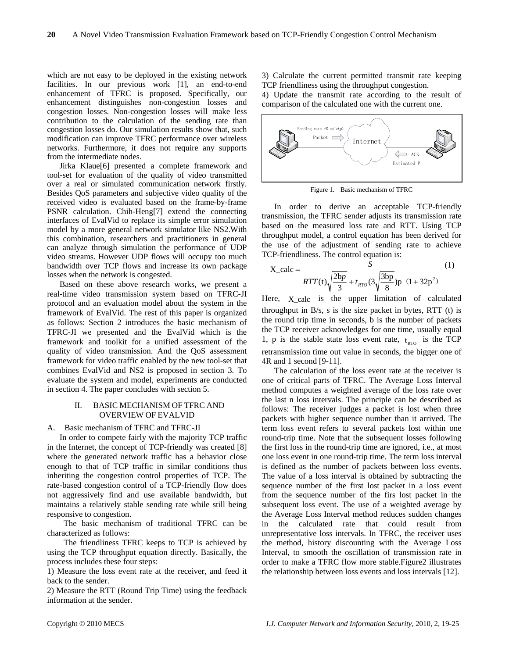which are not easy to be deployed in the existing network facilities. In our previous work [1], an end-to-end enhancement of TFRC is proposed. Specifically, our enhancement distinguishes non-congestion losses and congestion losses. Non-congestion losses will make less contribution to the calculation of the sending rate than congestion losses do. Our simulation results show that, such modification can improve TFRC performance over wireless networks. Furthermore, it does not require any supports from the intermediate nodes.

Jirka Klaue[6] presented a complete framework and tool-set for evaluation of the quality of video transmitted over a real or simulated communication network firstly. Besides QoS parameters and subjective video quality of the received video is evaluated based on the frame-by-frame PSNR calculation. Chih-Heng[7] extend the connecting interfaces of EvalVid to replace its simple error simulation model by a more general network simulator like NS2.With this combination, researchers and practitioners in general can analyze through simulation the performance of UDP video streams. However UDP flows will occupy too much bandwidth over TCP flows and increase its own package losses when the network is congested.

Based on these above research works, we present a real-time video transmission system based on TFRC-JI protocol and an evaluation model about the system in the framework of EvalVid. The rest of this paper is organized as follows: Section 2 introduces the basic mechanism of TFRC-JI we presented and the EvalVid which is the framework and toolkit for a unified assessment of the quality of video transmission. And the QoS assessment framework for video traffic enabled by the new tool-set that combines EvalVid and NS2 is proposed in section 3. To evaluate the system and model, experiments are conducted in section 4. The paper concludes with section 5.

## II. BASIC MECHANISM OF TFRC AND OVERVIEW OF EVALVID

#### A. Basic mechanism of TFRC and TFRC-JI

In order to compete fairly with the majority TCP traffic in the Internet, the concept of TCP-friendly was created [8] where the generated network traffic has a behavior close enough to that of TCP traffic in similar conditions thus inheriting the congestion control properties of TCP. The rate-based congestion control of a TCP-friendly flow does not aggressively find and use available bandwidth, but maintains a relatively stable sending rate while still being responsive to congestion.

The basic mechanism of traditional TFRC can be characterized as follows:

The friendliness TFRC keeps to TCP is achieved by using the TCP throughput equation directly. Basically, the process includes these four steps:

1) Measure the loss event rate at the receiver, and feed it back to the sender.

2) Measure the RTT (Round Trip Time) using the feedback information at the sender.

3) Calculate the current permitted transmit rate keeping TCP friendliness using the throughput congestion.

4) Update the transmit rate according to the result of comparison of the calculated one with the current one.



Figure 1. Basic mechanism of TFRC

In order to derive an acceptable TCP-friendly transmission, the TFRC sender adjusts its transmission rate based on the measured loss rate and RTT. Using TCP throughput model, a control equation has been derived for the use of the adjustment of sending rate to achieve TCP-friendliness. The control equation is:

$$
X_{\text{calc}} = \frac{S}{RTT(t)\sqrt{\frac{2bp}{3}} + t_{\text{RTO}}(3\sqrt{\frac{3bp}{8}})p(1+32p^2)}
$$
 (1)

Here,  $X_{cal}$  is the upper limitation of calculated throughput in B/s, s is the size packet in bytes, RTT (t) is the round trip time in seconds, b is the number of packets the TCP receiver acknowledges for one time, usually equal 1, p is the stable state loss event rate,  $t_{\text{RTO}}$  is the TCP retransmission time out value in seconds, the bigger one of 4R and 1 second [9-11].

The calculation of the loss event rate at the receiver is one of critical parts of TFRC. The Average Loss Interval method computes a weighted average of the loss rate over the last n loss intervals. The principle can be described as follows: The receiver judges a packet is lost when three packets with higher sequence number than it arrived. The term loss event refers to several packets lost within one round-trip time. Note that the subsequent losses following the first loss in the round-trip time are ignored, i.e., at most one loss event in one round-trip time. The term loss interval is defined as the number of packets between loss events. The value of a loss interval is obtained by subtracting the sequence number of the first lost packet in a loss event from the sequence number of the firs lost packet in the subsequent loss event. The use of a weighted average by the Average Loss Interval method reduces sudden changes in the calculated rate that could result from unrepresentative loss intervals. In TFRC, the receiver uses the method, history discounting with the Average Loss Interval, to smooth the oscillation of transmission rate in order to make a TFRC flow more stable.Figure2 illustrates the relationship between loss events and loss intervals [12].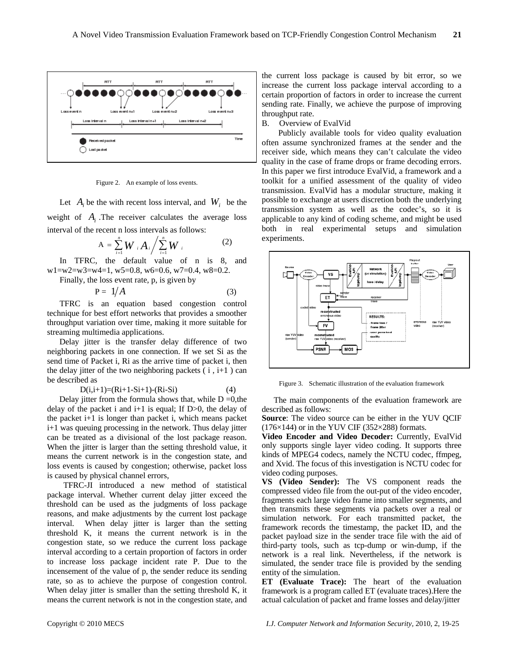

Figure 2. An example of loss events.

Let  $A_i$  be the with recent loss interval, and  $W_i$  be the weight of  $A_i$ . The receiver calculates the average loss interval of the recent n loss intervals as follows:

$$
A = \sum_{i=1}^{n} W_{i} A_{i} / \sum_{i=1}^{n} W_{i}
$$
 (2)

 In TFRC, the default value of n is 8, and w1=w2=w3=w4=1, w5=0.8, w6=0.6, w7=0.4, w8=0.2.

Finally, the loss event rate, p, is given by

$$
P = 1/A \tag{3}
$$

TFRC is an equation based congestion control technique for best effort networks that provides a smoother throughput variation over time, making it more suitable for streaming multimedia applications.

Delay jitter is the transfer delay difference of two neighboring packets in one connection. If we set Si as the send time of Packet i, Ri as the arrive time of packet i, then the delay jitter of the two neighboring packets  $(i, i+1)$  can be described as

$$
D(i,i+1)=(Ri+1-Si+1)-(Ri-Si)
$$
 (4)

Delay jitter from the formula shows that, while  $D = 0$ , the delay of the packet i and  $i+1$  is equal; If  $D>0$ , the delay of the packet  $i+1$  is longer than packet i, which means packet i+1 was queuing processing in the network. Thus delay jitter can be treated as a divisional of the lost package reason. When the jitter is larger than the setting threshold value, it means the current network is in the congestion state, and loss events is caused by congestion; otherwise, packet loss is caused by physical channel errors,

 TFRC-JI introduced a new method of statistical package interval. Whether current delay jitter exceed the threshold can be used as the judgments of loss package reasons, and make adjustments by the current lost package interval. When delay jitter is larger than the setting threshold K, it means the current network is in the congestion state, so we reduce the current loss package interval according to a certain proportion of factors in order to increase loss package incident rate P. Due to the incensement of the value of p, the sender reduce its sending rate, so as to achieve the purpose of congestion control. When delay jitter is smaller than the setting threshold K, it means the current network is not in the congestion state, and the current loss package is caused by bit error, so we increase the current loss package interval according to a certain proportion of factors in order to increase the current sending rate. Finally, we achieve the purpose of improving throughput rate.

B. Overview of EvalVid

Publicly available tools for video quality evaluation often assume synchronized frames at the sender and the receiver side, which means they can't calculate the video quality in the case of frame drops or frame decoding errors. In this paper we first introduce EvalVid, a framework and a toolkit for a unified assessment of the quality of video transmission. EvalVid has a modular structure, making it possible to exchange at users discretion both the underlying transmission system as well as the codec's, so it is applicable to any kind of coding scheme, and might be used both in real experimental setups and simulation experiments.



Figure 3. Schematic illustration of the evaluation framework

The main components of the evaluation framework are described as follows:

**Source**: The video source can be either in the YUV QCIF  $(176\times144)$  or in the YUV CIF (352 $\times$ 288) formats.

**Video Encoder and Video Decoder:** Currently, EvalVid only supports single layer video coding. It supports three kinds of MPEG4 codecs, namely the NCTU codec, ffmpeg, and Xvid. The focus of this investigation is NCTU codec for video coding purposes.

**VS (Video Sender):** The VS component reads the compressed video file from the out-put of the video encoder, fragments each large video frame into smaller segments, and then transmits these segments via packets over a real or simulation network. For each transmitted packet, the framework records the timestamp, the packet ID, and the packet payload size in the sender trace file with the aid of third-party tools, such as tcp-dump or win-dump, if the network is a real link. Nevertheless, if the network is simulated, the sender trace file is provided by the sending entity of the simulation.

**ET (Evaluate Trace):** The heart of the evaluation framework is a program called ET (evaluate traces).Here the actual calculation of packet and frame losses and delay/jitter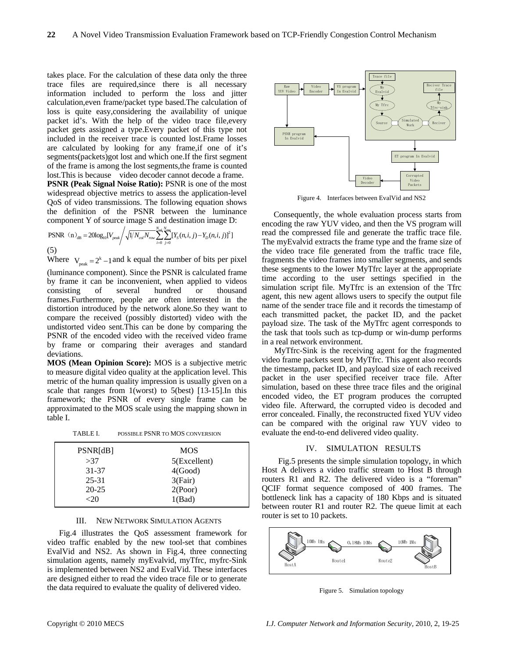takes place. For the calculation of these data only the three trace files are required,since there is all necessary information included to perform the loss and jitter calculation,even frame/packet type based.The calculation of loss is quite easy,considering the availability of unique packet id's. With the help of the video trace file,every packet gets assigned a type.Every packet of this type not included in the receiver trace is counted lost.Frame losses are calculated by looking for any frame,if one of it's segments(packets)got lost and which one.If the first segment of the frame is among the lost segments,the frame is counted lost.This is because video decoder cannot decode a frame. **PSNR (Peak Signal Noise Ratio): PSNR is one of the most** 

widespread objective metrics to assess the application-level QoS of video transmissions. The following equation shows the definition of the PSNR between the luminance component Y of source image S and destination image D:

$$
\text{PSNR} \ \ (\text{n})_{\text{dB}} = 20 \log_{10} [V_{peak} / \sqrt{1/N_{col} N_{row}} \sum_{i=0}^{N_{col} N_{row}} \sum_{j=0}^{N_{out}} [Y_{S}(n, i, j) - Y_{D}(n, i, j)]^{2}]
$$
\n
$$
(5)
$$

Where  $V_{peak} = 2^k - 1$  and k equal the number of bits per pixel (luminance component). Since the PSNR is calculated frame by frame it can be inconvenient, when applied to videos consisting of several hundred or thousand frames.Furthermore, people are often interested in the distortion introduced by the network alone.So they want to compare the received (possibly distorted) video with the undistorted video sent.This can be done by comparing the PSNR of the encoded video with the received video frame by frame or comparing their averages and standard deviations.

**MOS (Mean Opinion Score):** MOS is a subjective metric to measure digital video quality at the application level. This metric of the human quality impression is usually given on a scale that ranges from 1(worst) to 5(best) [13-15].In this framework; the PSNR of every single frame can be approximated to the MOS scale using the mapping shown in table I.

TABLE I. POSSIBLE PSNR TO MOS CONVERSION

| PSNR[dB]  | MOS             |
|-----------|-----------------|
| >37       | $5$ (Excellent) |
| 31-37     | 4(Good)         |
| $25 - 31$ | 3(Fair)         |
| $20 - 25$ | 2(Poor)         |
| -20       | 1(Bad)          |

#### III. NEW NETWORK SIMULATION AGENTS

Fig.4 illustrates the QoS assessment framework for video traffic enabled by the new tool-set that combines EvalVid and NS2. As shown in Fig.4, three connecting simulation agents, namely myEvalvid, myTfrc, myfrc-Sink is implemented between NS2 and EvalVid. These interfaces are designed either to read the video trace file or to generate the data required to evaluate the quality of delivered video.



Figure 4. Interfaces between EvalVid and NS2

Consequently, the whole evaluation process starts from encoding the raw YUV video, and then the VS program will read the compressed file and generate the traffic trace file. The myEvalvid extracts the frame type and the frame size of the video trace file generated from the traffic trace file, fragments the video frames into smaller segments, and sends these segments to the lower MyTfrc layer at the appropriate time according to the user settings specified in the simulation script file. MyTfrc is an extension of the Tfrc agent, this new agent allows users to specify the output file name of the sender trace file and it records the timestamp of each transmitted packet, the packet ID, and the packet payload size. The task of the MyTfrc agent corresponds to the task that tools such as tcp-dump or win-dump performs in a real network environment.

MyTfrc-Sink is the receiving agent for the fragmented video frame packets sent by MyTfrc. This agent also records the timestamp, packet ID, and payload size of each received packet in the user specified receiver trace file. After simulation, based on these three trace files and the original encoded video, the ET program produces the corrupted video file. Afterward, the corrupted video is decoded and error concealed. Finally, the reconstructed fixed YUV video can be compared with the original raw YUV video to evaluate the end-to-end delivered video quality.

#### IV. SIMULATION RESULTS

Fig.5 presents the simple simulation topology, in which Host A delivers a video traffic stream to Host B through routers R1 and R2. The delivered video is a "foreman" QCIF format sequence composed of 400 frames. The bottleneck link has a capacity of 180 Kbps and is situated between router R1 and router R2. The queue limit at each router is set to 10 packets.



Figure 5. Simulation topology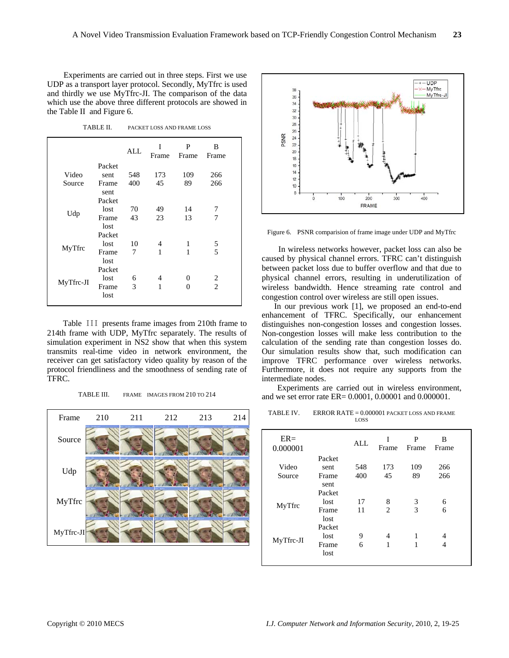Experiments are carried out in three steps. First we use UDP as a transport layer protocol. Secondly, MyTfrc is used and thirdly we use MyTfrc-JI. The comparison of the data which use the above three different protocols are showed in the Table II and Figure 6.

TABLE II. PACKET LOSS AND FRAME LOSS

|                 |                                 | ALL        | T<br>Frame | P<br>Frame | B<br>Frame          |
|-----------------|---------------------------------|------------|------------|------------|---------------------|
| Video<br>Source | Packet<br>sent<br>Frame<br>sent | 548<br>400 | 173<br>45  | 109<br>89  | 266<br>266          |
| Udp             | Packet<br>lost<br>Frame<br>lost | 70<br>43   | 49<br>23   | 14<br>13   | 7<br>7              |
| MyTfrc          | Packet<br>lost<br>Frame<br>lost | 10<br>7    | 4<br>1     | 1<br>1     | 5<br>5              |
| MyTfrc-JI       | Packet<br>lost<br>Frame<br>lost | 6<br>3     | 4<br>1     | 0<br>0     | 2<br>$\overline{c}$ |

Table III presents frame images from 210th frame to 214th frame with UDP, MyTfrc separately. The results of simulation experiment in NS2 show that when this system transmits real-time video in network environment, the receiver can get satisfactory video quality by reason of the protocol friendliness and the smoothness of sending rate of TFRC.

TABLE III. FRAME IMAGES FROM 210 TO 214





Figure 6. PSNR comparision of frame image under UDP and MyTfrc

In wireless networks however, packet loss can also be caused by physical channel errors. TFRC can't distinguish between packet loss due to buffer overflow and that due to physical channel errors, resulting in underutilization of wireless bandwidth. Hence streaming rate control and congestion control over wireless are still open issues.

In our previous work [1], we proposed an end-to-end enhancement of TFRC. Specifically, our enhancement distinguishes non-congestion losses and congestion losses. Non-congestion losses will make less contribution to the calculation of the sending rate than congestion losses do. Our simulation results show that, such modification can improve TFRC performance over wireless networks. Furthermore, it does not require any supports from the intermediate nodes.

Experiments are carried out in wireless environment, and we set error rate ER= 0.0001, 0.00001 and 0.000001.

| TABLE IV. | ERROR RATE = $0.000001$ packet loss and frame |
|-----------|-----------------------------------------------|
|           | <b>LOSS</b>                                   |

| $ER=$<br>0.000001 |                | ALL | I<br>Frame | P<br>Frame | B<br>Frame |  |
|-------------------|----------------|-----|------------|------------|------------|--|
| Video             | Packet<br>sent | 548 | 173        | 109        | 266        |  |
| Source            | Frame<br>sent  | 400 | 45         | 89         | 266        |  |
|                   | Packet<br>lost | 17  | 8          | 3          | 6          |  |
| MyTfrc            | Frame<br>lost  | 11  | 2          | 3          | 6          |  |
|                   | Packet         |     |            |            |            |  |
| MyTfrc-JI         | lost           | 9   | 4          | 1          | 4          |  |
|                   | Frame<br>lost  | 6   | 1          | 1          | 4          |  |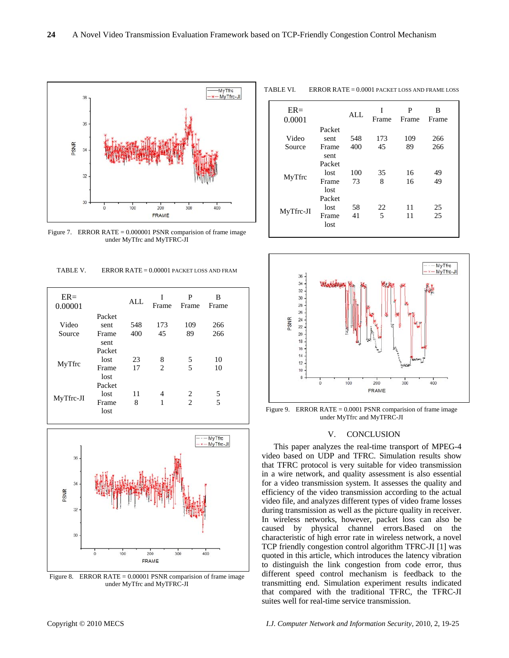

Figure 7. ERROR RATE = 0.000001 PSNR comparision of frame image under MyTfrc and MyTFRC-JI

| ERROR RATE = $0.00001$ packet loss and fram<br>TABLE V. |  |
|---------------------------------------------------------|--|
|---------------------------------------------------------|--|

| $ER =$<br>0.00001 |                                           | ALL        | T<br>Frame | P<br>Frame | B<br>Frame |  |
|-------------------|-------------------------------------------|------------|------------|------------|------------|--|
| Video<br>Source   | Packet<br>sent<br>Frame<br>sent<br>Packet | 548<br>400 | 173<br>45  | 109<br>89  | 266<br>266 |  |
| MyTfrc            | lost<br>Frame<br>lost<br>Packet           | 23<br>17   | 8<br>2     | 5<br>5     | 10<br>10   |  |
| MyTfrc-JI         | lost<br>Frame<br>lost                     | 11<br>8    | 4<br>1     | 2<br>2     | 5<br>5     |  |



Figure 8. ERROR RATE = 0.00001 PSNR comparision of frame image under MyTfrc and MyTFRC-JI

#### TABLE VI. ERROR RATE = 0.0001 PACKET LOSS AND FRAME LOSS

| $ER =$<br>0.0001 |                         | ALL        | T<br>Frame | P<br>Frame | B<br>Frame |
|------------------|-------------------------|------------|------------|------------|------------|
| Video<br>Source  | Packet<br>sent<br>Frame | 548<br>400 | 173<br>45  | 109<br>89  | 266<br>266 |
|                  | sent<br>Packet<br>lost  | 100        | 35         | 16         | 49         |
| MyTfrc           | Frame<br>lost<br>Packet | 73         | 8          | 16         | 49         |
| MyTfrc-JI        | lost<br>Frame<br>lost   | 58<br>41   | 22<br>5    | 11<br>11   | 25<br>25   |
|                  |                         |            |            |            |            |



Figure 9. ERROR RATE = 0.0001 PSNR comparision of frame image under MyTfrc and MyTFRC-JI

## V. CONCLUSION

This paper analyzes the real-time transport of MPEG-4 video based on UDP and TFRC. Simulation results show that TFRC protocol is very suitable for video transmission in a wire network, and quality assessment is also essential for a video transmission system. It assesses the quality and efficiency of the video transmission according to the actual video file, and analyzes different types of video frame losses during transmission as well as the picture quality in receiver. In wireless networks, however, packet loss can also be caused by physical channel errors.Based on the characteristic of high error rate in wireless network, a novel TCP friendly congestion control algorithm TFRC-JI [1] was quoted in this article, which introduces the latency vibration to distinguish the link congestion from code error, thus different speed control mechanism is feedback to the transmitting end. Simulation experiment results indicated that compared with the traditional TFRC, the TFRC-JI suites well for real-time service transmission.